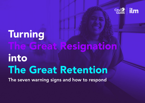

# Turning The Great Resignation into The Great Retention

The seven warning signs and how to respond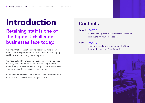# Introduction

## Retaining staff is one of the biggest challenges businesses face today.

We know that organisations who get it right reap many benefits including improved business performance, engaged and loyal staff and strengthened reputation.

We have pulled this short quide together to help you spot the early signs of emerging retention challenges and to share the top three strategies and approaches that we have seen bring amazing results to our customers.

People are your most valuable assets. Look after them, train them well and they will look after your business.

## **Contents**

PART 1 Page 4

> Seven warning signs that the Great Resignation is about to hit your organisation

#### Page 7 PART 2

The three best kept secrets to turn the Great Resignation into the Great Retention

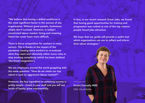"We believe that having a skilled workforce is the most significant factor in the success of any organisation. Without great people, businesses simply don't succeed. However, in today's constricted labour market, hiring and retaining talent has never been more difficult.

There is fierce competition for workers in many sectors. This is thanks to the impact of the pandemic causing some workers to re-evaluate what they want and ultimately either move roles or stop working completely (which has been dubbed 'the Great resignation').

We see employers around the world grappling with the same question: "How do we retain our top talent in such an aggressive labour market?".

However, the key ingredient to achieving success is pretty simple - invest in your staff and you will see levels of loyalty grow exponentially.

In fact, in our recent research Great Jobs, we found that having good opportunities for training and progression was ranked as one of the top reasons people found jobs attractive.

We hope that our guide will provide a useful tool which organisations can use to reflect and inform their talent strategies."

Kirstie Donnelly MBE CEO, City & Guilds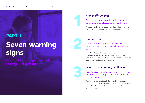**City & Guilds and ILM** | Turning The Great Resignation Into The Great Retention.

# Seven warning signs PART 1

that the Great Resignation is about to hit your organisation

## High staff turnover

This is the most obvious sign to look for: a high percentage of employees coming and going.

This could indicate that people are dissatisfied in general, and not willing to commit to longer-term employment at your company.



1

### High attrition rate

Attrition is when vacancies remain unfilled, are delegated internally to other staff or eliminated entirely.

If you find that attrition rate is higher than usual or increasing, there is a risk that additional strain is being placed on remaining employees as well as the risk of losing specific skills and/or industry knowledge.

#### Inconsistent company-staff values



Keeping your company values in check is just as important as reviewing the financial performance of your business.

Tension over unshared goals, increased conflict between teams and employees and feelings of inequalities are just a few of the tell-tale signs that increased resignations may be on the horizon.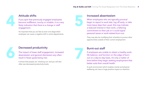

Attitude shifts<br>
If you spot that previously engaged employees<br>
become indifferent, touchy or irritable, it is a very<br>
likely indication that there is a change in staff<br>
engagement. If you spot that previously engaged employees become indifferent, touchy or irritable, it is a very likely indication that there is a change in staff engagement.

> It's important that you act fast as even one disgruntled employee can cause a negative shift in entire departments.

#### Attitude shifts **Increased absenteeism**

When employees who are typically punctual begin to report to work late, log off early, or take more leave days than usual, this may indicate a reduced interest in their work, a faltering commitment to their job or it could signal personal issues or work-related burn-out.

They may also be modifying their schedule to pursue other opportunities outside of their current employment.



### Decreased productivity **Burnt-out staff**

Decreased productivity<br>The impact of lower staff engagement, increased<br>absenteeism and general disinterest very often<br>result in fewer goals being met.<br>It shows that people are 'checking out' and you will also The impact of lower staff engagement, increased absenteeism and general disinterest very often result in fewer goals being met.

It shows that people are 'checking out' and you will also often see decreased productivity levels.



If employers are unable to obtain a healthy worklife balance, and function on the edge of burnout on a day-to-day basis, it's only a matter of time before they begin seeking employment that better suits their overall health.

A work environment which enables mental and physical wellbeing can have a huge positive impact on retention.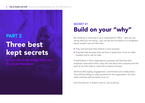# Three best kept secrets PART 2

to turn the Great Resignation into the Great Retention

## Build on your "why" SECRET #1

By clarifying or returning to your organisation's 'Why' – why you are doing what you are doing – you can lay the foundation of a workplace where people care and feel safe:

- They care because they believe in your purpose.
- They feel safe because they are free to speak their mind, to make mistakes and to ask for help.

If staff believe in their organisation's purpose and feel that their employer cares about them, they will care about the company and will want to do their best to make the company succeed.

All this builds loyalty, engagement, commitment and collaboration. They will be willing to make sacrifices for the organisation, for each other and they will not easily move on.

And the best bit: it doesn't have to cost anything.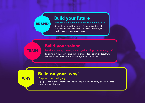## Build your future

#### Skilled staff + recognition = sustainable future

Recognising the achievements of engaged and skilled staff can turn your employees into brand advocates, so you become an employer of choice.

## Build your talent

**TRAIN** 

BRAND

Investing in high quality training builds engaged and committed staff who will be inspired to learn and want the organisation to succeed.

## Build on your 'why'

**WHY** 

#### Purpose + trust = loyalty

A purpose-led culture, underpinned by trust and psychological safety, creates the best environment for learning.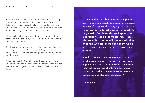All it takes is time, effort and authentic leadership. Lead by example and expect the same from everyone. Be willing to listen and receive feedback, take time to understand how your staff are feeling and where you could do more or better to make the organisation a safe and happy place.

Then you have the opportunity to act. Take and use their feedback, 'walk the walk', and provide training and support where it is most needed.

Do this consistently to build trust. Yes, it may take time. Yes, you may not get it right the first time. Yes, you won't be able to address everything in one go. Nevertheless, it's time worth investing.

Once you have the trust of your staff, they will be loyal to you and become your most valuable advisors. Loyal staff will want the best for your company. Loyal staff will not want to leave.

"Great leaders are able to inspire people to act. Those who are able to inspire give people a sense of purpose of belonging that has little to do with any external incentive or benefit to be gained… For those who are inspired, the motivation to act is deeply personal… Those who are able to inspire will create a following of people who act for the good of the whole not because they have to, but because they want to.

People who love going to work are more productive and more creative. They go home happier and have happier families. They treat their colleagues and clients and customers better. Inspired employees make for stronger companies and stronger economies."

Simon Sinek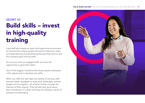## Build skills – invest in high-quality training SECRET #2

Loyal staff also breeds an open and supportive environment. An environment where people will want to help each otherand keep learning and developing because they want to see the company grow and succeed.

So once you have an engaged staff, you have the opportunity to grow their talent.

One of the biggest incentives that draws quality employees is the opportunity to develop new skills.

When you offer the right type and quality of training, staff become better equipped to meet work challenges, achieve targets and to progress – all of which further increase the chances of them staying. They will also feel good about their contribution to a team and they will develop a sense of purpose and belonging.

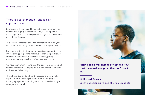## There is a catch though – and it is an important one.

Employees will know the difference between unremarkable training and high-quality training. They will also place a much higher value on training which recognises achievement through certification.

This could be external validation or certification using your own brand, depending on what works best for your business.

Investment in the right type of training is guaranteed to pay off. A training programme will serve to increase productivity and inspire employees to stay versus cheap, poorlystructured learning which will often have low output.

We have seen organisations reap the benefits of exceptional training programmes, helping to turn the Great Resignation to the Great Relearning.

These benefits include efficient onboarding of new staff, happier staff, increased job satisfaction, being able to identify high-potential employees and increased employee engagement, overall.



"Train people well enough so they can leave; treat them well enough so they don't want to."

Sir Richard Branson British Entrepreneur / Head of Virgin Group Ltd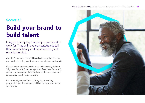## Secret #3

## Build your brand to build talent

Imagine a company that people are proud to work for. They will have no hesitation to tell their friends, family and peers what a great organisation it is.

And that's the most powerful brand advocacy that you can ever ask for to help you attract even more talent and keep it.

If you manage to create a safe place with a clearly defined 'why' (see Secret #1) and train your staff well (see Secret #2), enable and encourage them to show off their achievements so that they can shout about them.

If your employees can't stop talking about learning, progression and their career, it will be the best testament to your brand.

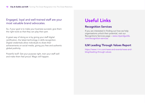## Engaged, loyal and well-trained staff are your most valuable brand advocates.

So, if your goal is to make your business succeed, give them the right tools so that they can play their part.

A great way of doing so is by giving your staff digital certification, the latest technology in skills recognition. Digital credentials allow individuals to share their achievements on social media, giving you free and authentic global publicity.

Powerful stuff. Get your purpose right, train your staff well and make them feel proud. Magic will happen.

## Useful Links

#### Recognition Services

If you are interested in finding out how we help organisations unlock their potential, visit our Recognitions Services page – [www.cityandguilds.](http://www.cityandguilds.com/recognition-services) [com/recognition-services](http://www.cityandguilds.com/recognition-services)

#### ILM Leading Through Values Report

[https://www.i-l-m.com/news-and-events/news-and](https://www.i-l-m.com/news-and-events/news-and-blog/leading-through-values)[blog/leading-through-values](https://www.i-l-m.com/news-and-events/news-and-blog/leading-through-values)